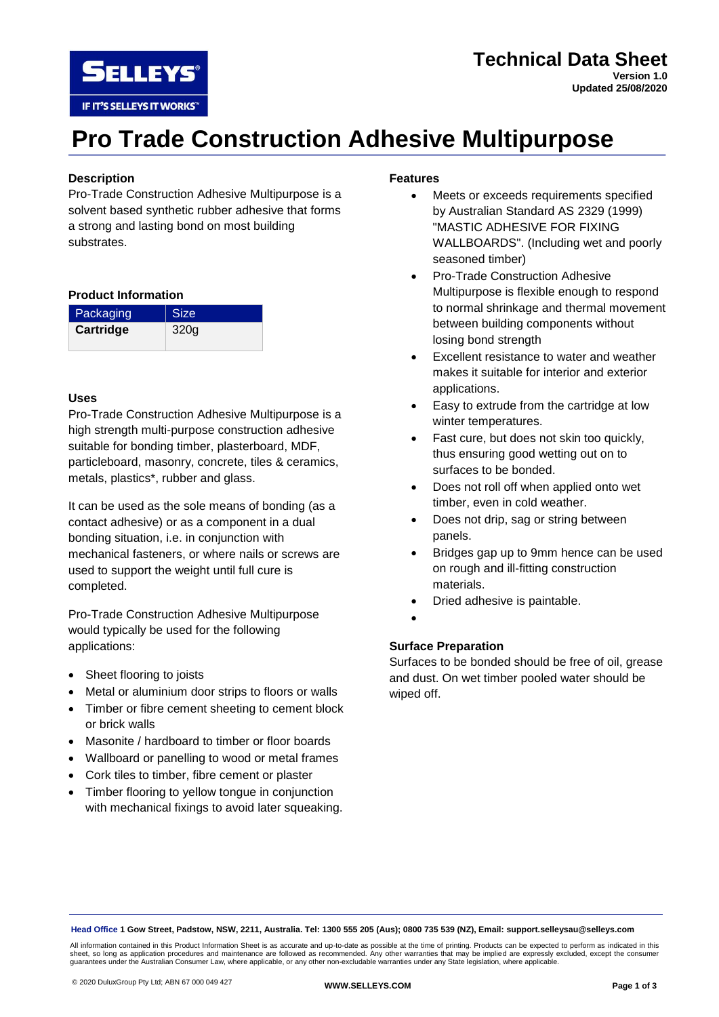

## **Pro Trade Construction Adhesive Multipurpose**

## **Description**

Pro-Trade Construction Adhesive Multipurpose is a solvent based synthetic rubber adhesive that forms a strong and lasting bond on most building substrates.

### **Product Information**

| Packaging | <b>Size</b> |
|-----------|-------------|
| Cartridge | 320g        |

#### **Uses**

Pro-Trade Construction Adhesive Multipurpose is a high strength multi-purpose construction adhesive suitable for bonding timber, plasterboard, MDF, particleboard, masonry, concrete, tiles & ceramics, metals, plastics\*, rubber and glass.

It can be used as the sole means of bonding (as a contact adhesive) or as a component in a dual bonding situation, i.e. in conjunction with mechanical fasteners, or where nails or screws are used to support the weight until full cure is completed.

Pro-Trade Construction Adhesive Multipurpose would typically be used for the following applications:

- Sheet flooring to joists
- Metal or aluminium door strips to floors or walls
- Timber or fibre cement sheeting to cement block or brick walls
- Masonite / hardboard to timber or floor boards
- Wallboard or panelling to wood or metal frames
- Cork tiles to timber, fibre cement or plaster
- Timber flooring to yellow tongue in conjunction with mechanical fixings to avoid later squeaking.

## **Features**

- Meets or exceeds requirements specified by Australian Standard AS 2329 (1999) "MASTIC ADHESIVE FOR FIXING WALLBOARDS". (Including wet and poorly seasoned timber)
- Pro-Trade Construction Adhesive Multipurpose is flexible enough to respond to normal shrinkage and thermal movement between building components without losing bond strength
- Excellent resistance to water and weather makes it suitable for interior and exterior applications.
- Easy to extrude from the cartridge at low winter temperatures.
- Fast cure, but does not skin too quickly, thus ensuring good wetting out on to surfaces to be bonded.
- Does not roll off when applied onto wet timber, even in cold weather.
- Does not drip, sag or string between panels.
- Bridges gap up to 9mm hence can be used on rough and ill-fitting construction materials.
- Dried adhesive is paintable.
- •

## **Surface Preparation**

Surfaces to be bonded should be free of oil, grease and dust. On wet timber pooled water should be wiped off.

**Head Office 1 Gow Street, Padstow, NSW, 2211, Australia. Tel: 1300 555 205 (Aus); 0800 735 539 (NZ), Email: support.selleysau@selleys.com**

All information contained in this Product Information Sheet is as accurate and up-to-date as possible at the time of printing. Products can be expected to perform as indicated in this<br>sheet, so long as application procedur guarantees under the Australian Consumer Law, where applicable, or any other non-excludable warranties under any State legislation, where applicable.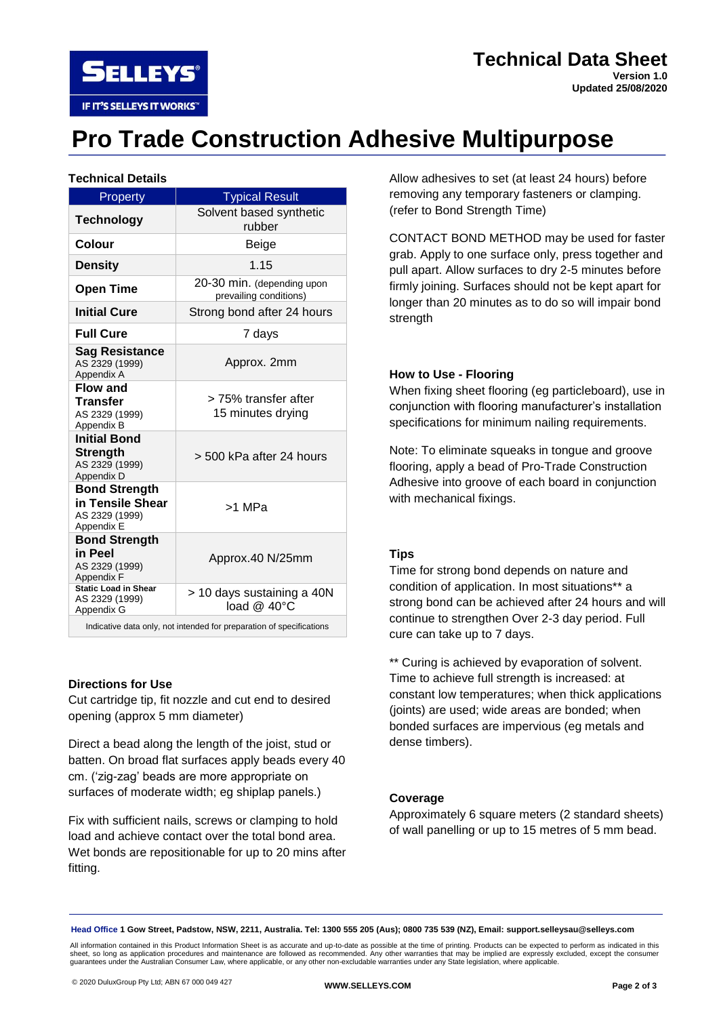

# **Pro Trade Construction Adhesive Multipurpose**

## **Technical Details**

| Property                                                                 | <b>Typical Result</b>                                                                                             |
|--------------------------------------------------------------------------|-------------------------------------------------------------------------------------------------------------------|
| <b>Technology</b>                                                        | Solvent based synthetic<br>rubber                                                                                 |
| Colour                                                                   | Beige                                                                                                             |
| Density                                                                  | 1.15                                                                                                              |
| <b>Open Time</b>                                                         | 20-30 min. (depending upon<br>prevailing conditions)                                                              |
| <b>Initial Cure</b>                                                      | Strong bond after 24 hours                                                                                        |
| <b>Full Cure</b>                                                         | 7 days                                                                                                            |
| <b>Sag Resistance</b><br>AS 2329 (1999)<br>Appendix A                    | Approx. 2mm                                                                                                       |
| <b>Flow and</b><br><b>Transfer</b><br>AS 2329 (1999)<br>Appendix B       | > 75% transfer after<br>15 minutes drying                                                                         |
| <b>Initial Bond</b><br><b>Strength</b><br>AS 2329 (1999)<br>Appendix D   | > 500 kPa after 24 hours                                                                                          |
| <b>Bond Strength</b><br>in Tensile Shear<br>AS 2329 (1999)<br>Appendix E | >1 MPa                                                                                                            |
| <b>Bond Strength</b><br>in Peel<br>AS 2329 (1999)<br>Appendix F          | Approx.40 N/25mm                                                                                                  |
| <b>Static Load in Shear</b><br>AS 2329 (1999)<br>Appendix G              | > 10 days sustaining a 40N<br>load @ 40°C<br>Indicative data only not intended for preparation of appelfications. |

Indicative data only, not intended for preparation of specifications

## **Directions for Use**

Cut cartridge tip, fit nozzle and cut end to desired opening (approx 5 mm diameter)

Direct a bead along the length of the joist, stud or batten. On broad flat surfaces apply beads every 40 cm. ('zig-zag' beads are more appropriate on surfaces of moderate width; eg shiplap panels.)

Fix with sufficient nails, screws or clamping to hold load and achieve contact over the total bond area. Wet bonds are repositionable for up to 20 mins after fitting.

Allow adhesives to set (at least 24 hours) before removing any temporary fasteners or clamping. (refer to Bond Strength Time)

CONTACT BOND METHOD may be used for faster grab. Apply to one surface only, press together and pull apart. Allow surfaces to dry 2-5 minutes before firmly joining. Surfaces should not be kept apart for longer than 20 minutes as to do so will impair bond strength

#### **How to Use - Flooring**

When fixing sheet flooring (eg particleboard), use in conjunction with flooring manufacturer's installation specifications for minimum nailing requirements.

Note: To eliminate squeaks in tongue and groove flooring, apply a bead of Pro-Trade Construction Adhesive into groove of each board in conjunction with mechanical fixings.

#### **Tips**

Time for strong bond depends on nature and condition of application. In most situations\*\* a strong bond can be achieved after 24 hours and will continue to strengthen Over 2-3 day period. Full cure can take up to 7 days.

\*\* Curing is achieved by evaporation of solvent. Time to achieve full strength is increased: at constant low temperatures; when thick applications (joints) are used; wide areas are bonded; when bonded surfaces are impervious (eg metals and dense timbers).

#### **Coverage**

Approximately 6 square meters (2 standard sheets) of wall panelling or up to 15 metres of 5 mm bead.

**Head Office 1 Gow Street, Padstow, NSW, 2211, Australia. Tel: 1300 555 205 (Aus); 0800 735 539 (NZ), Email: support.selleysau@selleys.com**

All information contained in this Product Information Sheet is as accurate and up-to-date as possible at the time of printing. Products can be expected to perform as indicated in this<br>sheet, so long as application procedur guarantees under the Australian Consumer Law, where applicable, or any other non-excludable warranties under any State legislation, where applicable.